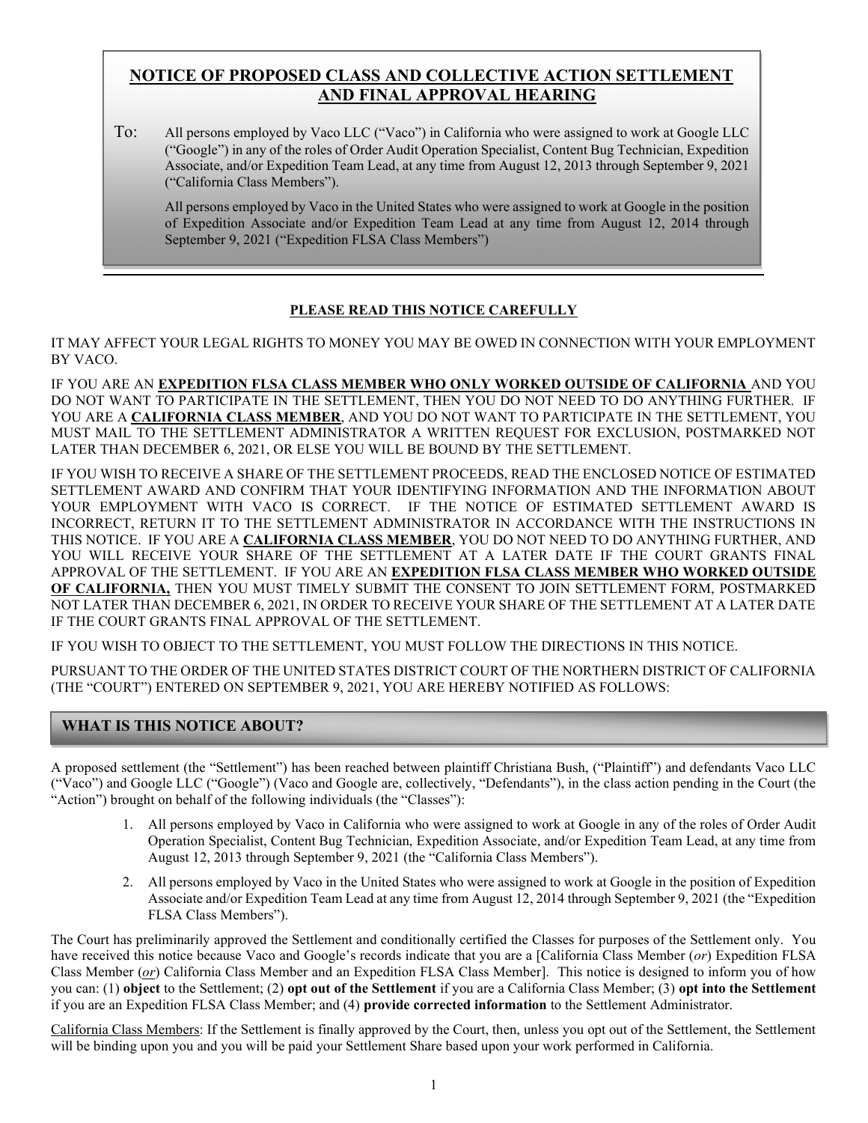# NOTICE OF PROPOSED CLASS AND COLLECTIVE ACTION SETTLEMENT AND FINAL APPROVAL HEARING

To: All persons employed by Vaco LLC ("Vaco") in California who were assigned to work at Google LLC ("Google") in any of the roles of Order Audit Operation Specialist, Content Bug Technician, Expedition Associate, and/or Expedition Team Lead, at any time from August 12, 2013 through September 9, 2021 ("California Class Members").

All persons employed by Vaco in the United States who were assigned to work at Google in the position of Expedition Associate and/or Expedition Team Lead at any time from August 12, 2014 through September 9, 2021 ("Expedition FLSA Class Members")

## PLEASE READ THIS NOTICE CAREFULLY

IT MAY AFFECT YOUR LEGAL RIGHTS TO MONEY YOU MAY BE OWED IN CONNECTION WITH YOUR EMPLOYMENT BY VACO.

IF YOU ARE AN EXPEDITION FLSA CLASS MEMBER WHO ONLY WORKED OUTSIDE OF CALIFORNIA AND YOU DO NOT WANT TO PARTICIPATE IN THE SETTLEMENT, THEN YOU DO NOT NEED TO DO ANYTHING FURTHER. IF YOU ARE A CALIFORNIA CLASS MEMBER, AND YOU DO NOT WANT TO PARTICIPATE IN THE SETTLEMENT, YOU MUST MAIL TO THE SETTLEMENT ADMINISTRATOR A WRITTEN REQUEST FOR EXCLUSION, POSTMARKED NOT LATER THAN DECEMBER 6, 2021, OR ELSE YOU WILL BE BOUND BY THE SETTLEMENT.

IF YOU WISH TO RECEIVE A SHARE OF THE SETTLEMENT PROCEEDS, READ THE ENCLOSED NOTICE OF ESTIMATED SETTLEMENT AWARD AND CONFIRM THAT YOUR IDENTIFYING INFORMATION AND THE INFORMATION ABOUT YOUR EMPLOYMENT WITH VACO IS CORRECT. IF THE NOTICE OF ESTIMATED SETTLEMENT AWARD IS INCORRECT, RETURN IT TO THE SETTLEMENT ADMINISTRATOR IN ACCORDANCE WITH THE INSTRUCTIONS IN THIS NOTICE. IF YOU ARE A CALIFORNIA CLASS MEMBER, YOU DO NOT NEED TO DO ANYTHING FURTHER, AND YOU WILL RECEIVE YOUR SHARE OF THE SETTLEMENT AT A LATER DATE IF THE COURT GRANTS FINAL APPROVAL OF THE SETTLEMENT. IF YOU ARE AN EXPEDITION FLSA CLASS MEMBER WHO WORKED OUTSIDE OF CALIFORNIA, THEN YOU MUST TIMELY SUBMIT THE CONSENT TO JOIN SETTLEMENT FORM, POSTMARKED NOT LATER THAN DECEMBER 6, 2021, IN ORDER TO RECEIVE YOUR SHARE OF THE SETTLEMENT AT A LATER DATE IF THE COURT GRANTS FINAL APPROVAL OF THE SETTLEMENT.

IF YOU WISH TO OBJECT TO THE SETTLEMENT, YOU MUST FOLLOW THE DIRECTIONS IN THIS NOTICE.

PURSUANT TO THE ORDER OF THE UNITED STATES DISTRICT COURT OF THE NORTHERN DISTRICT OF CALIFORNIA (THE "COURT") ENTERED ON SEPTEMBER 9, 2021, YOU ARE HEREBY NOTIFIED AS FOLLOWS:

# WHAT IS THIS NOTICE ABOUT?

A proposed settlement (the "Settlement") has been reached between plaintiff Christiana Bush, ("Plaintiff") and defendants Vaco LLC ("Vaco") and Google LLC ("Google") (Vaco and Google are, collectively, "Defendants"), in the class action pending in the Court (the "Action") brought on behalf of the following individuals (the "Classes"):

- 1. All persons employed by Vaco in California who were assigned to work at Google in any of the roles of Order Audit Operation Specialist, Content Bug Technician, Expedition Associate, and/or Expedition Team Lead, at any time from August 12, 2013 through September 9, 2021 (the "California Class Members").
- 2. All persons employed by Vaco in the United States who were assigned to work at Google in the position of Expedition Associate and/or Expedition Team Lead at any time from August 12, 2014 through September 9, 2021 (the "Expedition FLSA Class Members").

The Court has preliminarily approved the Settlement and conditionally certified the Classes for purposes of the Settlement only. You have received this notice because Vaco and Google's records indicate that you are a [California Class Member (or) Expedition FLSA Class Member (or) California Class Member and an Expedition FLSA Class Member]. This notice is designed to inform you of how you can: (1) object to the Settlement; (2) opt out of the Settlement if you are a California Class Member; (3) opt into the Settlement if you are an Expedition FLSA Class Member; and (4) provide corrected information to the Settlement Administrator.

California Class Members: If the Settlement is finally approved by the Court, then, unless you opt out of the Settlement, the Settlement will be binding upon you and you will be paid your Settlement Share based upon your work performed in California.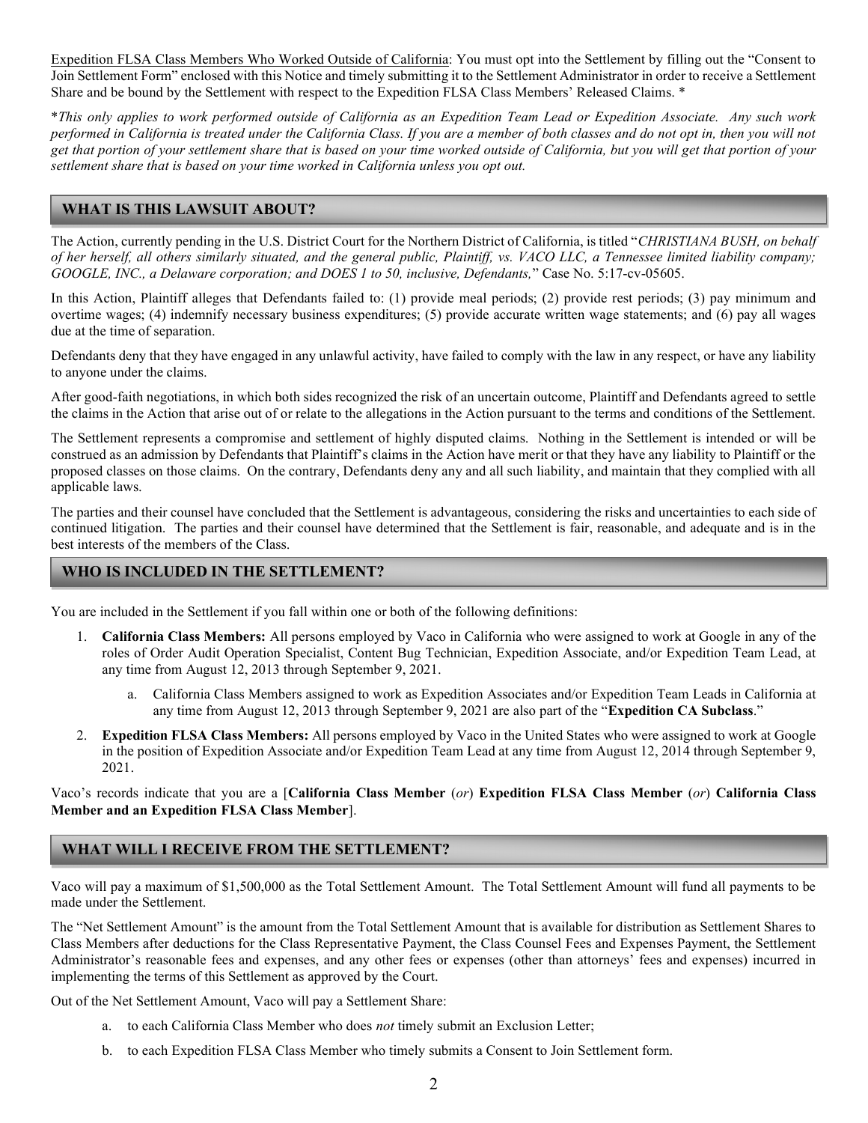Expedition FLSA Class Members Who Worked Outside of California: You must opt into the Settlement by filling out the "Consent to Join Settlement Form" enclosed with this Notice and timely submitting it to the Settlement Administrator in order to receive a Settlement Share and be bound by the Settlement with respect to the Expedition FLSA Class Members' Released Claims. \*

\*This only applies to work performed outside of California as an Expedition Team Lead or Expedition Associate. Any such work performed in California is treated under the California Class. If you are a member of both classes and do not opt in, then you will not get that portion of your settlement share that is based on your time worked outside of California, but you will get that portion of your settlement share that is based on your time worked in California unless you opt out.

## WHAT IS THIS LAWSUIT ABOUT?

The Action, currently pending in the U.S. District Court for the Northern District of California, is titled "CHRISTIANA BUSH, on behalf of her herself, all others similarly situated, and the general public, Plaintiff, vs. VACO LLC, a Tennessee limited liability company; GOOGLE, INC., a Delaware corporation; and DOES 1 to 50, inclusive, Defendants," Case No. 5:17-cv-05605.

In this Action, Plaintiff alleges that Defendants failed to: (1) provide meal periods; (2) provide rest periods; (3) pay minimum and overtime wages; (4) indemnify necessary business expenditures; (5) provide accurate written wage statements; and (6) pay all wages due at the time of separation.

Defendants deny that they have engaged in any unlawful activity, have failed to comply with the law in any respect, or have any liability to anyone under the claims.

After good-faith negotiations, in which both sides recognized the risk of an uncertain outcome, Plaintiff and Defendants agreed to settle the claims in the Action that arise out of or relate to the allegations in the Action pursuant to the terms and conditions of the Settlement.

The Settlement represents a compromise and settlement of highly disputed claims. Nothing in the Settlement is intended or will be construed as an admission by Defendants that Plaintiff's claims in the Action have merit or that they have any liability to Plaintiff or the proposed classes on those claims. On the contrary, Defendants deny any and all such liability, and maintain that they complied with all applicable laws.

The parties and their counsel have concluded that the Settlement is advantageous, considering the risks and uncertainties to each side of continued litigation. The parties and their counsel have determined that the Settlement is fair, reasonable, and adequate and is in the best interests of the members of the Class.

### WHO IS INCLUDED IN THE SETTLEMENT? His Notice Package? His Notice Package? His Notice Package? His Notice Package?

You are included in the Settlement if you fall within one or both of the following definitions:

- 1. California Class Members: All persons employed by Vaco in California who were assigned to work at Google in any of the roles of Order Audit Operation Specialist, Content Bug Technician, Expedition Associate, and/or Expedition Team Lead, at any time from August 12, 2013 through September 9, 2021.
	- a. California Class Members assigned to work as Expedition Associates and/or Expedition Team Leads in California at any time from August 12, 2013 through September 9, 2021 are also part of the "Expedition CA Subclass."
- 2. Expedition FLSA Class Members: All persons employed by Vaco in the United States who were assigned to work at Google in the position of Expedition Associate and/or Expedition Team Lead at any time from August 12, 2014 through September 9, 2021.

Vaco's records indicate that you are a [California Class Member (or) Expedition FLSA Class Member (or) California Class Member and an Expedition FLSA Class Member].

## WHAT WILL I RECEIVE FROM THE SETTLEMENT?

Vaco will pay a maximum of \$1,500,000 as the Total Settlement Amount. The Total Settlement Amount will fund all payments to be made under the Settlement.

The "Net Settlement Amount" is the amount from the Total Settlement Amount that is available for distribution as Settlement Shares to Class Members after deductions for the Class Representative Payment, the Class Counsel Fees and Expenses Payment, the Settlement Administrator's reasonable fees and expenses, and any other fees or expenses (other than attorneys' fees and expenses) incurred in implementing the terms of this Settlement as approved by the Court.

Out of the Net Settlement Amount, Vaco will pay a Settlement Share:

- a. to each California Class Member who does not timely submit an Exclusion Letter;
- b. to each Expedition FLSA Class Member who timely submits a Consent to Join Settlement form.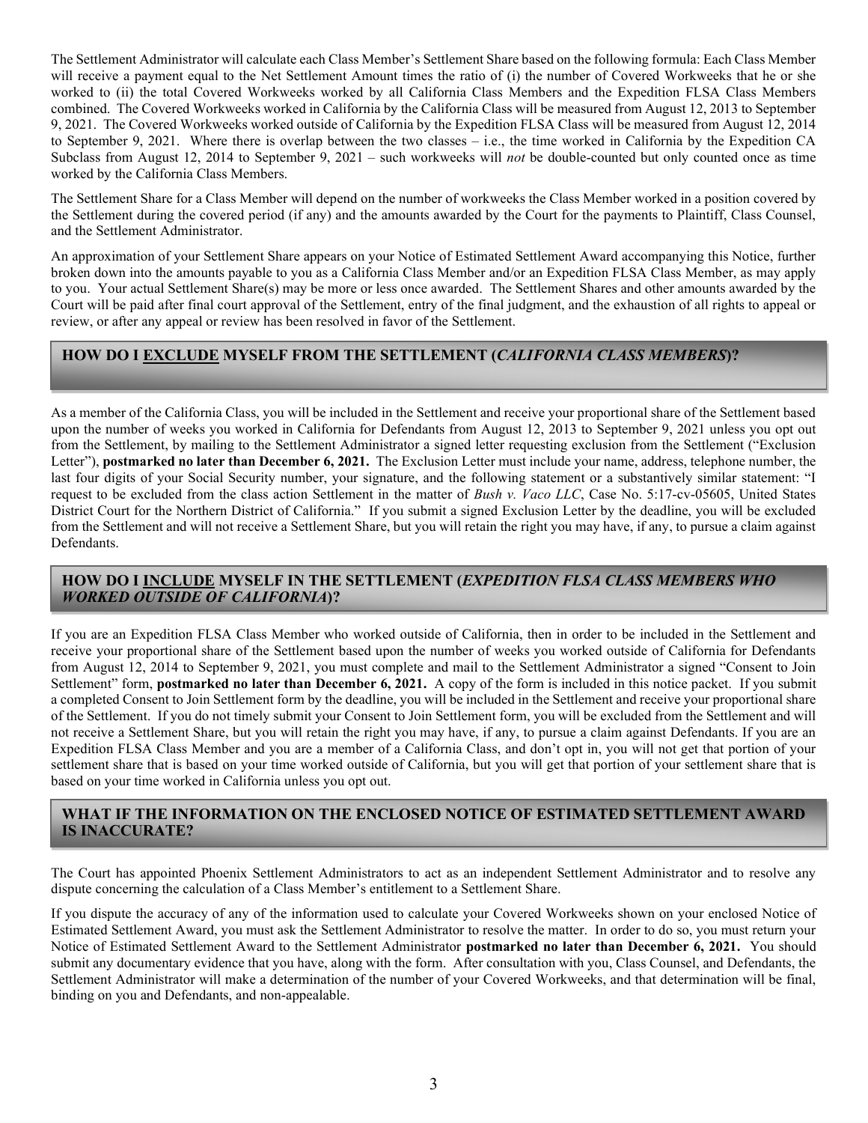The Settlement Administrator will calculate each Class Member's Settlement Share based on the following formula: Each Class Member will receive a payment equal to the Net Settlement Amount times the ratio of (i) the number of Covered Workweeks that he or she worked to (ii) the total Covered Workweeks worked by all California Class Members and the Expedition FLSA Class Members combined. The Covered Workweeks worked in California by the California Class will be measured from August 12, 2013 to September 9, 2021. The Covered Workweeks worked outside of California by the Expedition FLSA Class will be measured from August 12, 2014 to September 9, 2021. Where there is overlap between the two classes – i.e., the time worked in California by the Expedition CA Subclass from August 12, 2014 to September 9, 2021 – such workweeks will not be double-counted but only counted once as time worked by the California Class Members.

The Settlement Share for a Class Member will depend on the number of workweeks the Class Member worked in a position covered by the Settlement during the covered period (if any) and the amounts awarded by the Court for the payments to Plaintiff, Class Counsel, and the Settlement Administrator.

An approximation of your Settlement Share appears on your Notice of Estimated Settlement Award accompanying this Notice, further broken down into the amounts payable to you as a California Class Member and/or an Expedition FLSA Class Member, as may apply to you. Your actual Settlement Share(s) may be more or less once awarded. The Settlement Shares and other amounts awarded by the Court will be paid after final court approval of the Settlement, entry of the final judgment, and the exhaustion of all rights to appeal or review, or after any appeal or review has been resolved in favor of the Settlement.

## HOW DO I EXCLUDE MYSELF FROM THE SETTLEMENT (CALIFORNIA CLASS MEMBERS)?

As a member of the California Class, you will be included in the Settlement and receive your proportional share of the Settlement based upon the number of weeks you worked in California for Defendants from August 12, 2013 to September 9, 2021 unless you opt out from the Settlement, by mailing to the Settlement Administrator a signed letter requesting exclusion from the Settlement ("Exclusion Letter"), postmarked no later than December 6, 2021. The Exclusion Letter must include your name, address, telephone number, the last four digits of your Social Security number, your signature, and the following statement or a substantively similar statement: "I request to be excluded from the class action Settlement in the matter of Bush v. Vaco LLC, Case No. 5:17-cv-05605, United States District Court for the Northern District of California." If you submit a signed Exclusion Letter by the deadline, you will be excluded from the Settlement and will not receive a Settlement Share, but you will retain the right you may have, if any, to pursue a claim against Defendants.

## HOW DO I INCLUDE MYSELF IN THE SETTLEMENT (EXPEDITION FLSA CLASS MEMBERS WHO WORKED OUTSIDE OF CALIFORNIA)?

If you are an Expedition FLSA Class Member who worked outside of California, then in order to be included in the Settlement and receive your proportional share of the Settlement based upon the number of weeks you worked outside of California for Defendants from August 12, 2014 to September 9, 2021, you must complete and mail to the Settlement Administrator a signed "Consent to Join Settlement" form, postmarked no later than December 6, 2021. A copy of the form is included in this notice packet. If you submit a completed Consent to Join Settlement form by the deadline, you will be included in the Settlement and receive your proportional share of the Settlement. If you do not timely submit your Consent to Join Settlement form, you will be excluded from the Settlement and will not receive a Settlement Share, but you will retain the right you may have, if any, to pursue a claim against Defendants. If you are an Expedition FLSA Class Member and you are a member of a California Class, and don't opt in, you will not get that portion of your settlement share that is based on your time worked outside of California, but you will get that portion of your settlement share that is based on your time worked in California unless you opt out.

### WHAT IF THE INFORMATION ON THE ENCLOSED NOTICE OF ESTIMATED SETTLEMENT AWARD IS INACCURATE?

The Court has appointed Phoenix Settlement Administrators to act as an independent Settlement Administrator and to resolve any dispute concerning the calculation of a Class Member's entitlement to a Settlement Share.

If you dispute the accuracy of any of the information used to calculate your Covered Workweeks shown on your enclosed Notice of Estimated Settlement Award, you must ask the Settlement Administrator to resolve the matter. In order to do so, you must return your Notice of Estimated Settlement Award to the Settlement Administrator **postmarked no later than December 6, 2021.** You should submit any documentary evidence that you have, along with the form. After consultation with you, Class Counsel, and Defendants, the Settlement Administrator will make a determination of the number of your Covered Workweeks, and that determination will be final, binding on you and Defendants, and non-appealable.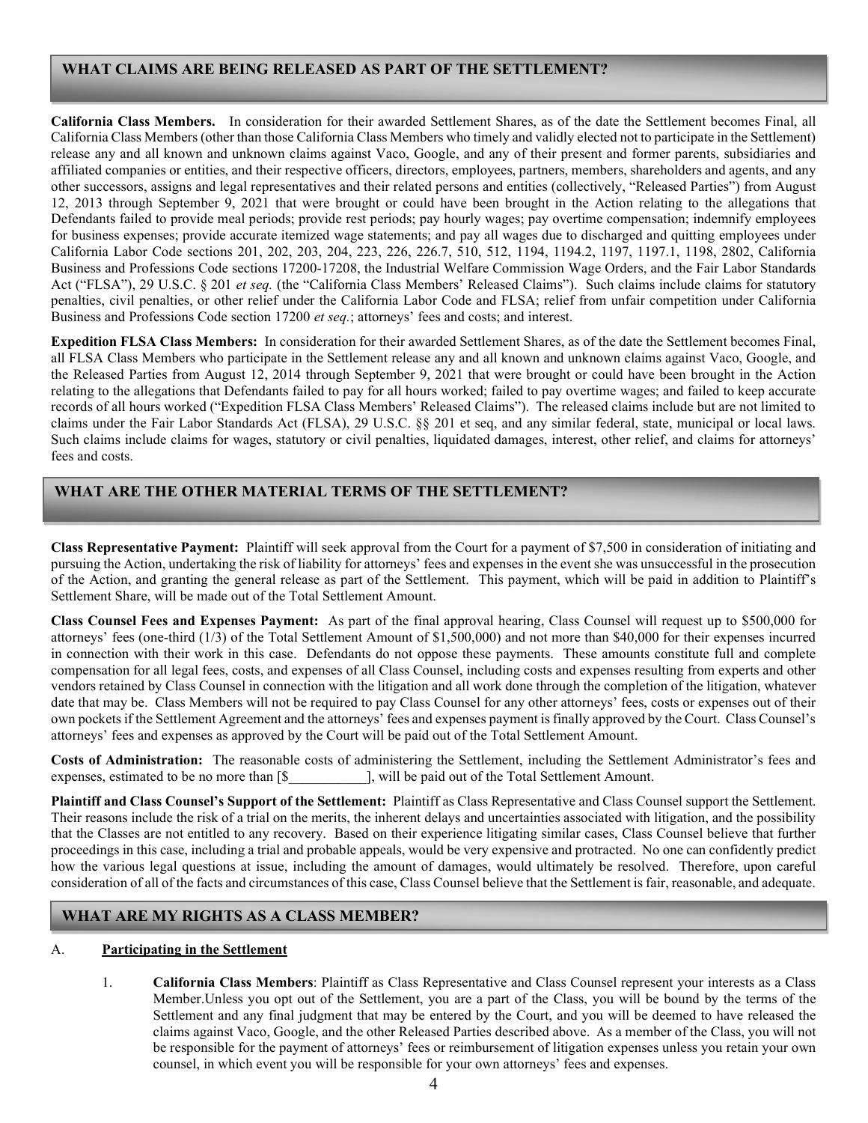## WHAT CLAIMS ARE BEING RELEASED AS PART OF THE SETTLEMENT?

California Class Members. In consideration for their awarded Settlement Shares, as of the date the Settlement becomes Final, all California Class Members (other than those California Class Members who timely and validly elected not to participate in the Settlement) release any and all known and unknown claims against Vaco, Google, and any of their present and former parents, subsidiaries and affiliated companies or entities, and their respective officers, directors, employees, partners, members, shareholders and agents, and any other successors, assigns and legal representatives and their related persons and entities (collectively, "Released Parties") from August 12, 2013 through September 9, 2021 that were brought or could have been brought in the Action relating to the allegations that Defendants failed to provide meal periods; provide rest periods; pay hourly wages; pay overtime compensation; indemnify employees for business expenses; provide accurate itemized wage statements; and pay all wages due to discharged and quitting employees under California Labor Code sections 201, 202, 203, 204, 223, 226, 226.7, 510, 512, 1194, 1194.2, 1197, 1197.1, 1198, 2802, California Business and Professions Code sections 17200-17208, the Industrial Welfare Commission Wage Orders, and the Fair Labor Standards Act ("FLSA"), 29 U.S.C. § 201 et seq. (the "California Class Members' Released Claims"). Such claims include claims for statutory penalties, civil penalties, or other relief under the California Labor Code and FLSA; relief from unfair competition under California Business and Professions Code section 17200 et seq.; attorneys' fees and costs; and interest.

Expedition FLSA Class Members: In consideration for their awarded Settlement Shares, as of the date the Settlement becomes Final, all FLSA Class Members who participate in the Settlement release any and all known and unknown claims against Vaco, Google, and the Released Parties from August 12, 2014 through September 9, 2021 that were brought or could have been brought in the Action relating to the allegations that Defendants failed to pay for all hours worked; failed to pay overtime wages; and failed to keep accurate records of all hours worked ("Expedition FLSA Class Members' Released Claims"). The released claims include but are not limited to claims under the Fair Labor Standards Act (FLSA), 29 U.S.C. §§ 201 et seq, and any similar federal, state, municipal or local laws. Such claims include claims for wages, statutory or civil penalties, liquidated damages, interest, other relief, and claims for attorneys' fees and costs.

## WHAT ARE THE OTHER MATERIAL TERMS OF THE SETTLEMENT?

Class Representative Payment: Plaintiff will seek approval from the Court for a payment of \$7,500 in consideration of initiating and pursuing the Action, undertaking the risk of liability for attorneys' fees and expenses in the event she was unsuccessful in the prosecution of the Action, and granting the general release as part of the Settlement. This payment, which will be paid in addition to Plaintiff's Settlement Share, will be made out of the Total Settlement Amount.

Class Counsel Fees and Expenses Payment: As part of the final approval hearing, Class Counsel will request up to \$500,000 for attorneys' fees (one-third (1/3) of the Total Settlement Amount of \$1,500,000) and not more than \$40,000 for their expenses incurred in connection with their work in this case. Defendants do not oppose these payments. These amounts constitute full and complete compensation for all legal fees, costs, and expenses of all Class Counsel, including costs and expenses resulting from experts and other vendors retained by Class Counsel in connection with the litigation and all work done through the completion of the litigation, whatever date that may be. Class Members will not be required to pay Class Counsel for any other attorneys' fees, costs or expenses out of their own pockets if the Settlement Agreement and the attorneys' fees and expenses payment is finally approved by the Court. Class Counsel's attorneys' fees and expenses as approved by the Court will be paid out of the Total Settlement Amount.

Costs of Administration: The reasonable costs of administering the Settlement, including the Settlement Administrator's fees and expenses, estimated to be no more than [\$  $\qquad \qquad$  ], will be paid out of the Total Settlement Amount.

Plaintiff and Class Counsel's Support of the Settlement: Plaintiff as Class Representative and Class Counsel support the Settlement. Their reasons include the risk of a trial on the merits, the inherent delays and uncertainties associated with litigation, and the possibility that the Classes are not entitled to any recovery. Based on their experience litigating similar cases, Class Counsel believe that further proceedings in this case, including a trial and probable appeals, would be very expensive and protracted. No one can confidently predict how the various legal questions at issue, including the amount of damages, would ultimately be resolved. Therefore, upon careful consideration of all of the facts and circumstances of this case, Class Counsel believe that the Settlement is fair, reasonable, and adequate.

### WHAT ARE MY RIGHTS AS A CLASS MEMBER? His notice package? The second control of the second control of the second control of the second control of the

#### A. Participating in the Settlement

1. California Class Members: Plaintiff as Class Representative and Class Counsel represent your interests as a Class Member.Unless you opt out of the Settlement, you are a part of the Class, you will be bound by the terms of the Settlement and any final judgment that may be entered by the Court, and you will be deemed to have released the claims against Vaco, Google, and the other Released Parties described above. As a member of the Class, you will not be responsible for the payment of attorneys' fees or reimbursement of litigation expenses unless you retain your own counsel, in which event you will be responsible for your own attorneys' fees and expenses.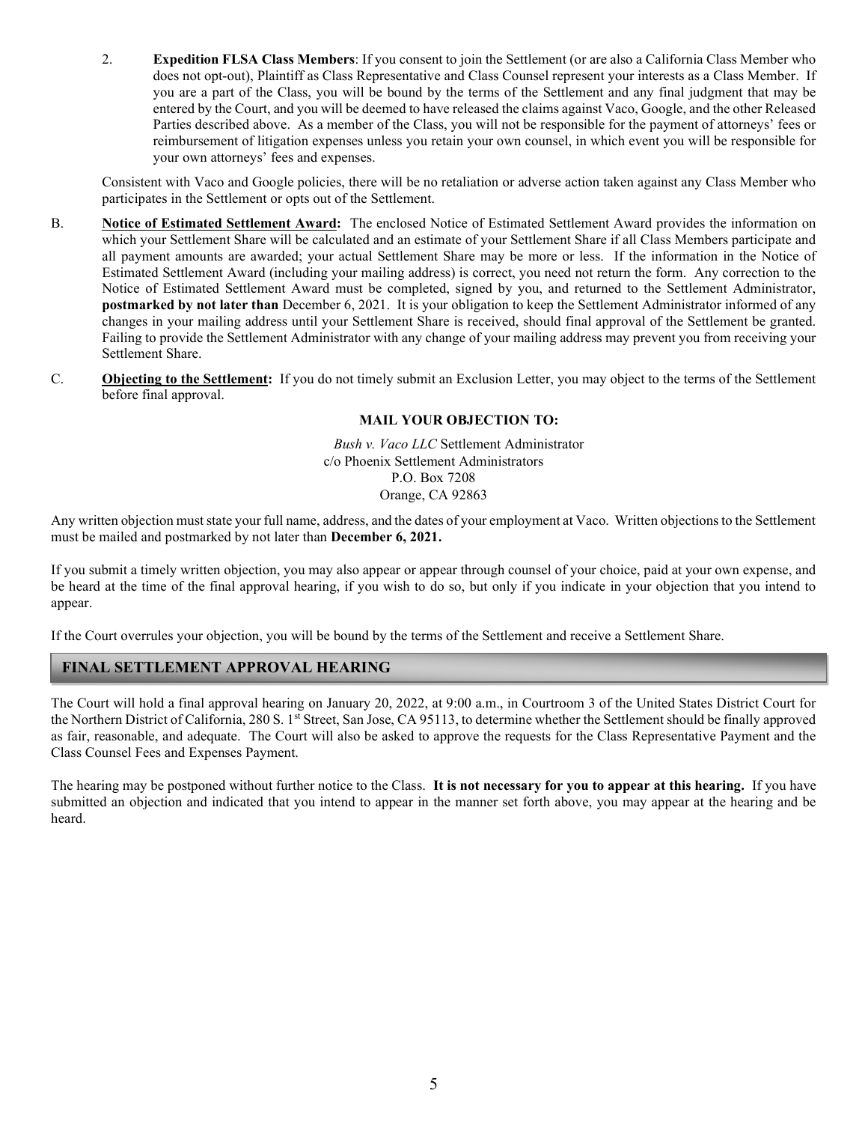2. Expedition FLSA Class Members: If you consent to join the Settlement (or are also a California Class Member who does not opt-out), Plaintiff as Class Representative and Class Counsel represent your interests as a Class Member. If you are a part of the Class, you will be bound by the terms of the Settlement and any final judgment that may be entered by the Court, and you will be deemed to have released the claims against Vaco, Google, and the other Released Parties described above. As a member of the Class, you will not be responsible for the payment of attorneys' fees or reimbursement of litigation expenses unless you retain your own counsel, in which event you will be responsible for your own attorneys' fees and expenses.

Consistent with Vaco and Google policies, there will be no retaliation or adverse action taken against any Class Member who participates in the Settlement or opts out of the Settlement.

- B. Notice of Estimated Settlement Award: The enclosed Notice of Estimated Settlement Award provides the information on which your Settlement Share will be calculated and an estimate of your Settlement Share if all Class Members participate and all payment amounts are awarded; your actual Settlement Share may be more or less. If the information in the Notice of Estimated Settlement Award (including your mailing address) is correct, you need not return the form. Any correction to the Notice of Estimated Settlement Award must be completed, signed by you, and returned to the Settlement Administrator, postmarked by not later than December 6, 2021. It is your obligation to keep the Settlement Administrator informed of any changes in your mailing address until your Settlement Share is received, should final approval of the Settlement be granted. Failing to provide the Settlement Administrator with any change of your mailing address may prevent you from receiving your Settlement Share.
- C. Objecting to the Settlement: If you do not timely submit an Exclusion Letter, you may object to the terms of the Settlement before final approval.

#### MAIL YOUR OBJECTION TO:

Bush v. Vaco LLC Settlement Administrator c/o Phoenix Settlement Administrators P.O. Box 7208 Orange, CA 92863

Any written objection must state your full name, address, and the dates of your employment at Vaco. Written objections to the Settlement must be mailed and postmarked by not later than December 6, 2021.

If you submit a timely written objection, you may also appear or appear through counsel of your choice, paid at your own expense, and be heard at the time of the final approval hearing, if you wish to do so, but only if you indicate in your objection that you intend to appear.

If the Court overrules your objection, you will be bound by the terms of the Settlement and receive a Settlement Share.

### FINAL SETTLEMENT APPROVAL HEARING

The Court will hold a final approval hearing on January 20, 2022, at 9:00 a.m., in Courtroom 3 of the United States District Court for the Northern District of California, 280 S. 1<sup>st</sup> Street, San Jose, CA 95113, to determine whether the Settlement should be finally approved as fair, reasonable, and adequate. The Court will also be asked to approve the requests for the Class Representative Payment and the Class Counsel Fees and Expenses Payment.

The hearing may be postponed without further notice to the Class. It is not necessary for you to appear at this hearing. If you have submitted an objection and indicated that you intend to appear in the manner set forth above, you may appear at the hearing and be heard.